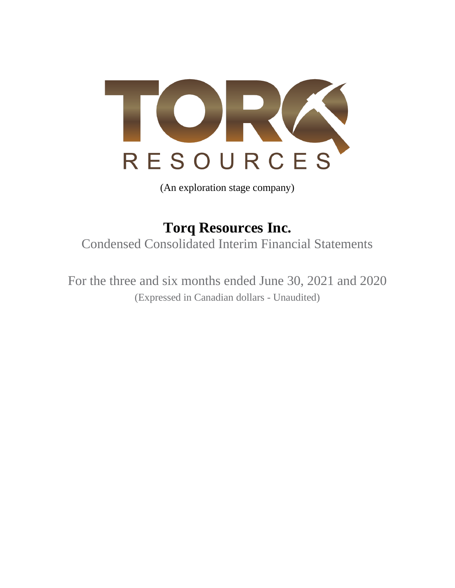

(An exploration stage company)

**Torq Resources Inc.** Condensed Consolidated Interim Financial Statements

For the three and six months ended June 30, 2021 and 2020 (Expressed in Canadian dollars - Unaudited)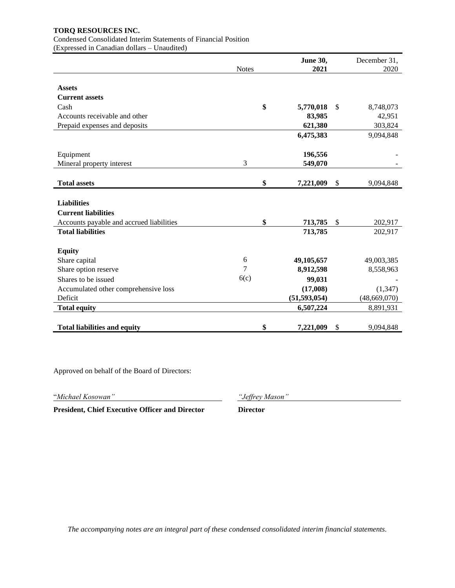Condensed Consolidated Interim Statements of Financial Position (Expressed in Canadian dollars – Unaudited)

|                                          | <b>Notes</b> | June 30,<br>2021 | December 31,<br>2020 |
|------------------------------------------|--------------|------------------|----------------------|
|                                          |              |                  |                      |
| <b>Assets</b>                            |              |                  |                      |
| <b>Current assets</b>                    |              |                  |                      |
| Cash                                     | \$           | 5,770,018        | \$<br>8,748,073      |
| Accounts receivable and other            |              | 83,985           | 42,951               |
| Prepaid expenses and deposits            |              | 621,380          | 303,824              |
|                                          |              | 6,475,383        | 9,094,848            |
| Equipment                                |              | 196,556          |                      |
| Mineral property interest                | 3            | 549,070          |                      |
|                                          |              |                  |                      |
| <b>Total assets</b>                      | \$           | 7,221,009        | \$<br>9,094,848      |
|                                          |              |                  |                      |
| <b>Liabilities</b>                       |              |                  |                      |
| <b>Current liabilities</b>               |              |                  |                      |
| Accounts payable and accrued liabilities | \$           | 713,785          | \$<br>202,917        |
| <b>Total liabilities</b>                 |              | 713,785          | 202,917              |
| <b>Equity</b>                            |              |                  |                      |
| Share capital                            | 6            | 49,105,657       | 49,003,385           |
| Share option reserve                     | 7            | 8,912,598        | 8,558,963            |
| Shares to be issued                      | 6(c)         | 99,031           |                      |
| Accumulated other comprehensive loss     |              | (17,008)         | (1, 347)             |
| Deficit                                  |              | (51, 593, 054)   | (48,669,070)         |
| <b>Total equity</b>                      |              | 6,507,224        | 8,891,931            |
|                                          |              |                  |                      |
| <b>Total liabilities and equity</b>      | \$           | 7,221,009        | \$<br>9,094,848      |

Approved on behalf of the Board of Directors:

"*Michael Kosowan" "Jeffrey Mason"*

**President, Chief Executive Officer and Director Director**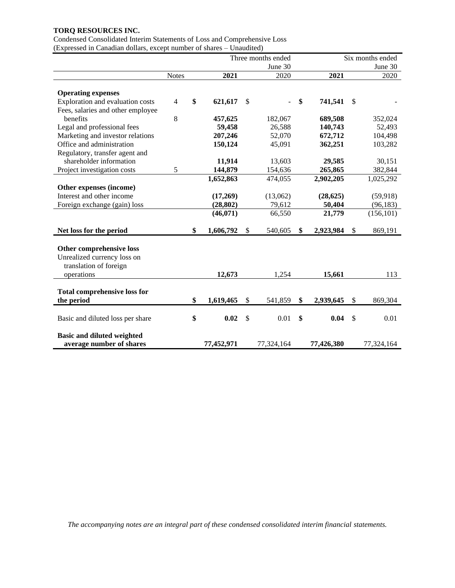Condensed Consolidated Interim Statements of Loss and Comprehensive Loss (Expressed in Canadian dollars, except number of shares – Unaudited)

|                                     |                |                 |               | Three months ended | Six months ended |            |    |            |
|-------------------------------------|----------------|-----------------|---------------|--------------------|------------------|------------|----|------------|
|                                     |                |                 |               | June 30            |                  |            |    | June 30    |
|                                     | <b>Notes</b>   | 2021            |               | 2020               |                  | 2021       |    | 2020       |
|                                     |                |                 |               |                    |                  |            |    |            |
| <b>Operating expenses</b>           |                |                 |               |                    |                  |            |    |            |
| Exploration and evaluation costs    | $\overline{4}$ | \$<br>621,617   | $\mathbb{S}$  |                    | \$               | 741,541    | \$ |            |
| Fees, salaries and other employee   |                |                 |               |                    |                  |            |    |            |
| benefits                            | 8              | 457,625         |               | 182,067            |                  | 689,508    |    | 352,024    |
| Legal and professional fees         |                | 59,458          |               | 26,588             |                  | 140,743    |    | 52,493     |
| Marketing and investor relations    |                | 207,246         |               | 52,070             |                  | 672,712    |    | 104,498    |
| Office and administration           |                | 150,124         |               | 45,091             |                  | 362,251    |    | 103,282    |
| Regulatory, transfer agent and      |                |                 |               |                    |                  |            |    |            |
| shareholder information             |                | 11,914          |               | 13,603             |                  | 29,585     |    | 30,151     |
| Project investigation costs         | 5              | 144,879         |               | 154,636            |                  | 265,865    |    | 382,844    |
|                                     |                | 1,652,863       |               | 474,055            |                  | 2,902,205  |    | 1,025,292  |
| Other expenses (income)             |                |                 |               |                    |                  |            |    |            |
| Interest and other income           |                | (17,269)        |               | (13,062)           |                  | (28, 625)  |    | (59, 918)  |
| Foreign exchange (gain) loss        |                | (28, 802)       |               | 79,612             |                  | 50,404     |    | (96, 183)  |
|                                     |                | (46,071)        |               | 66,550             |                  | 21,779     |    | (156, 101) |
|                                     |                |                 |               |                    |                  |            |    |            |
| Net loss for the period             |                | \$<br>1,606,792 | \$            | 540,605            | \$               | 2,923,984  | \$ | 869,191    |
|                                     |                |                 |               |                    |                  |            |    |            |
| Other comprehensive loss            |                |                 |               |                    |                  |            |    |            |
| Unrealized currency loss on         |                |                 |               |                    |                  |            |    |            |
| translation of foreign              |                |                 |               |                    |                  |            |    |            |
| operations                          |                | 12,673          |               | 1,254              |                  | 15,661     |    | 113        |
|                                     |                |                 |               |                    |                  |            |    |            |
| <b>Total comprehensive loss for</b> |                |                 |               |                    |                  |            |    |            |
| the period                          |                | \$<br>1,619,465 | $\mathbb{S}$  | 541,859            | \$               | 2,939,645  | \$ | 869,304    |
|                                     |                |                 |               |                    |                  |            |    |            |
| Basic and diluted loss per share    |                | \$<br>0.02      | $\mathcal{S}$ | 0.01               | \$               | 0.04       | \$ | 0.01       |
|                                     |                |                 |               |                    |                  |            |    |            |
| <b>Basic and diluted weighted</b>   |                |                 |               |                    |                  |            |    |            |
| average number of shares            |                | 77,452,971      |               | 77,324,164         |                  | 77,426,380 |    | 77,324,164 |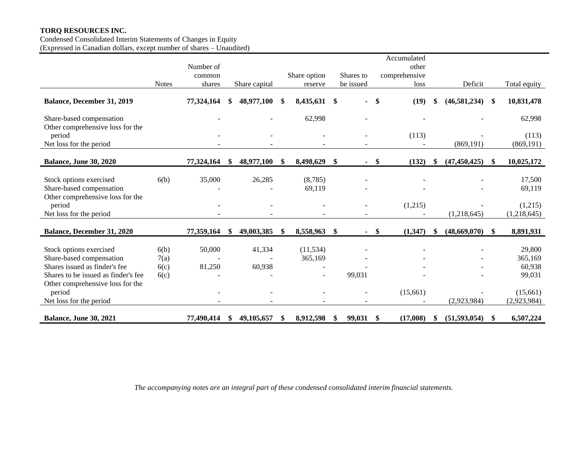Condensed Consolidated Interim Statements of Changes in Equity (Expressed in Canadian dollars, except number of shares – Unaudited)

|                                                                                                                                                                 |                              | Number of<br>common |     |                  | Share option         | Shares to    | Accumulated<br>other<br>comprehensive |      |                |               |                                       |
|-----------------------------------------------------------------------------------------------------------------------------------------------------------------|------------------------------|---------------------|-----|------------------|----------------------|--------------|---------------------------------------|------|----------------|---------------|---------------------------------------|
|                                                                                                                                                                 | <b>Notes</b>                 | shares              |     | Share capital    | reserve              | be issued    | loss                                  |      | Deficit        |               | Total equity                          |
| <b>Balance, December 31, 2019</b>                                                                                                                               |                              | 77,324,164          | S   | 48,977,100       | \$<br>8,435,631      | \$           | (19)<br>$\boldsymbol{\$}$             |      | (46, 581, 234) | \$            | 10,831,478                            |
| Share-based compensation<br>Other comprehensive loss for the                                                                                                    |                              |                     |     |                  | 62,998               |              |                                       |      |                |               | 62,998                                |
| period<br>Net loss for the period                                                                                                                               |                              |                     |     |                  |                      |              | (113)                                 |      | (869, 191)     |               | (113)<br>(869, 191)                   |
| Balance, June 30, 2020                                                                                                                                          |                              | 77,324,164          | \$. | 48,977,100       | \$<br>8,498,629      | \$<br>$\sim$ | -\$<br>(132)                          |      | (47, 450, 425) | <sup>\$</sup> | 10,025,172                            |
| Stock options exercised<br>Share-based compensation<br>Other comprehensive loss for the                                                                         | 6(b)                         | 35,000              |     | 26,285           | (8,785)<br>69,119    |              |                                       |      |                |               | 17,500<br>69,119                      |
| period<br>Net loss for the period                                                                                                                               |                              |                     |     |                  |                      |              | (1,215)                               |      | (1,218,645)    |               | (1,215)<br>(1,218,645)                |
| <b>Balance, December 31, 2020</b>                                                                                                                               |                              | 77,359,164          | -SS | 49,003,385       | \$<br>8,558,963      | \$           | $-$ \$<br>(1,347)                     | - \$ | (48,669,070)   | <sup>\$</sup> | 8,891,931                             |
| Stock options exercised<br>Share-based compensation<br>Shares issued as finder's fee<br>Shares to be issued as finder's fee<br>Other comprehensive loss for the | 6(b)<br>7(a)<br>6(c)<br>6(c) | 50,000<br>81,250    |     | 41,334<br>60,938 | (11, 534)<br>365,169 | 99,031       |                                       |      |                |               | 29,800<br>365,169<br>60,938<br>99,031 |
| period<br>Net loss for the period                                                                                                                               |                              |                     |     |                  |                      |              | (15,661)                              |      | (2,923,984)    |               | (15,661)<br>(2,923,984)               |
| <b>Balance, June 30, 2021</b>                                                                                                                                   |                              | 77,490,414          | \$  | 49,105,657       | \$<br>8,912,598      | \$<br>99,031 | (17,008)<br>-S                        | S    | (51,593,054)   | <sup>\$</sup> | 6,507,224                             |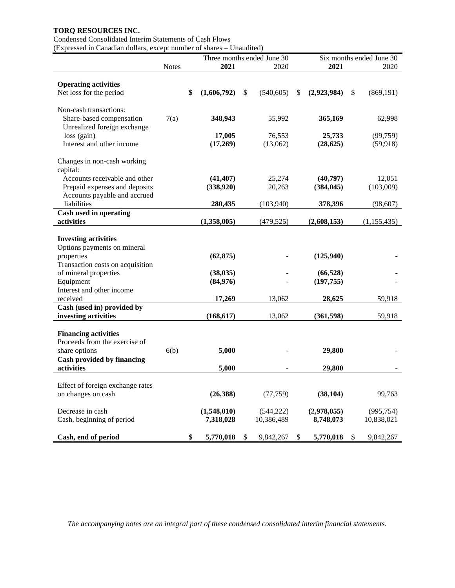## Condensed Consolidated Interim Statements of Cash Flows

(Expressed in Canadian dollars, except number of shares – Unaudited)

|                                                               |              | Three months ended June 30 |             |    |            |    | Six months ended June 30 |    |               |  |
|---------------------------------------------------------------|--------------|----------------------------|-------------|----|------------|----|--------------------------|----|---------------|--|
|                                                               | <b>Notes</b> |                            | 2021        |    | 2020       |    | 2021                     |    | 2020          |  |
|                                                               |              |                            |             |    |            |    |                          |    |               |  |
| <b>Operating activities</b>                                   |              |                            |             |    |            |    |                          |    |               |  |
| Net loss for the period                                       |              | \$                         | (1,606,792) | \$ | (540, 605) | \$ | (2,923,984)              | \$ | (869, 191)    |  |
| Non-cash transactions:                                        |              |                            |             |    |            |    |                          |    |               |  |
| Share-based compensation<br>Unrealized foreign exchange       | 7(a)         |                            | 348,943     |    | 55,992     |    | 365,169                  |    | 62,998        |  |
| $loss$ (gain)                                                 |              |                            | 17,005      |    | 76,553     |    | 25,733                   |    | (99, 759)     |  |
| Interest and other income                                     |              |                            | (17,269)    |    | (13,062)   |    | (28, 625)                |    | (59, 918)     |  |
| Changes in non-cash working                                   |              |                            |             |    |            |    |                          |    |               |  |
| capital:                                                      |              |                            |             |    |            |    |                          |    |               |  |
| Accounts receivable and other                                 |              |                            | (41, 407)   |    | 25,274     |    | (40,797)                 |    | 12,051        |  |
| Prepaid expenses and deposits<br>Accounts payable and accrued |              |                            | (338,920)   |    | 20,263     |    | (384, 045)               |    | (103,009)     |  |
| liabilities                                                   |              |                            | 280,435     |    | (103,940)  |    | 378,396                  |    | (98, 607)     |  |
| Cash used in operating                                        |              |                            |             |    |            |    |                          |    |               |  |
| activities                                                    |              |                            | (1,358,005) |    | (479, 525) |    | (2,608,153)              |    | (1, 155, 435) |  |
| <b>Investing activities</b><br>Options payments on mineral    |              |                            |             |    |            |    |                          |    |               |  |
| properties                                                    |              |                            | (62, 875)   |    |            |    | (125,940)                |    |               |  |
| Transaction costs on acquisition                              |              |                            |             |    |            |    |                          |    |               |  |
| of mineral properties                                         |              |                            | (38, 035)   |    |            |    | (66, 528)                |    |               |  |
| Equipment                                                     |              |                            | (84,976)    |    |            |    | (197, 755)               |    |               |  |
| Interest and other income                                     |              |                            |             |    |            |    |                          |    |               |  |
| received                                                      |              |                            | 17,269      |    | 13,062     |    | 28,625                   |    | 59,918        |  |
| Cash (used in) provided by                                    |              |                            |             |    |            |    |                          |    |               |  |
| investing activities                                          |              |                            | (168, 617)  |    | 13,062     |    | (361, 598)               |    | 59,918        |  |
|                                                               |              |                            |             |    |            |    |                          |    |               |  |
| <b>Financing activities</b>                                   |              |                            |             |    |            |    |                          |    |               |  |
| Proceeds from the exercise of                                 |              |                            |             |    |            |    |                          |    |               |  |
| share options                                                 | 6(b)         |                            | 5,000       |    |            |    | 29,800                   |    |               |  |
| Cash provided by financing                                    |              |                            |             |    |            |    |                          |    |               |  |
| activities                                                    |              |                            | 5,000       |    |            |    | 29,800                   |    |               |  |
|                                                               |              |                            |             |    |            |    |                          |    |               |  |
| Effect of foreign exchange rates                              |              |                            |             |    |            |    |                          |    |               |  |
| on changes on cash                                            |              |                            | (26,388)    |    | (77, 759)  |    | (38, 104)                |    | 99,763        |  |
| Decrease in cash                                              |              |                            | (1,548,010) |    | (544, 222) |    | (2,978,055)              |    | (995, 754)    |  |
| Cash, beginning of period                                     |              |                            | 7,318,028   |    | 10,386,489 |    | 8,748,073                |    | 10,838,021    |  |
| Cash, end of period                                           |              | \$                         | 5,770,018   | \$ | 9,842,267  | \$ | 5,770,018                | \$ | 9,842,267     |  |
|                                                               |              |                            |             |    |            |    |                          |    |               |  |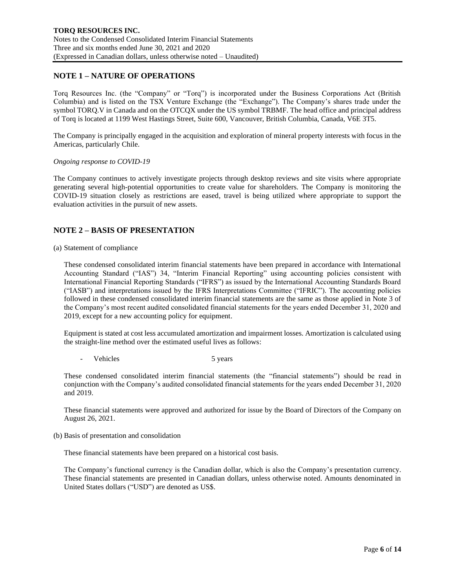# **NOTE 1 – NATURE OF OPERATIONS**

Torq Resources Inc. (the "Company" or "Torq") is incorporated under the Business Corporations Act (British Columbia) and is listed on the TSX Venture Exchange (the "Exchange"). The Company's shares trade under the symbol TORQ.V in Canada and on the OTCQX under the US symbol TRBMF. The head office and principal address of Torq is located at 1199 West Hastings Street, Suite 600, Vancouver, British Columbia, Canada, V6E 3T5.

The Company is principally engaged in the acquisition and exploration of mineral property interests with focus in the Americas, particularly Chile.

#### *Ongoing response to COVID-19*

The Company continues to actively investigate projects through desktop reviews and site visits where appropriate generating several high-potential opportunities to create value for shareholders. The Company is monitoring the COVID-19 situation closely as restrictions are eased, travel is being utilized where appropriate to support the evaluation activities in the pursuit of new assets.

## **NOTE 2 – BASIS OF PRESENTATION**

### (a) Statement of compliance

These condensed consolidated interim financial statements have been prepared in accordance with International Accounting Standard ("IAS") 34, "Interim Financial Reporting" using accounting policies consistent with International Financial Reporting Standards ("IFRS") as issued by the International Accounting Standards Board ("IASB") and interpretations issued by the IFRS Interpretations Committee ("IFRIC"). The accounting policies followed in these condensed consolidated interim financial statements are the same as those applied in Note 3 of the Company's most recent audited consolidated financial statements for the years ended December 31, 2020 and 2019, except for a new accounting policy for equipment.

Equipment is stated at cost less accumulated amortization and impairment losses. Amortization is calculated using the straight-line method over the estimated useful lives as follows:

Vehicles 5 years

These condensed consolidated interim financial statements (the "financial statements") should be read in conjunction with the Company's audited consolidated financial statements for the years ended December 31, 2020 and 2019.

These financial statements were approved and authorized for issue by the Board of Directors of the Company on August 26, 2021.

(b) Basis of presentation and consolidation

These financial statements have been prepared on a historical cost basis.

The Company's functional currency is the Canadian dollar, which is also the Company's presentation currency. These financial statements are presented in Canadian dollars, unless otherwise noted. Amounts denominated in United States dollars ("USD") are denoted as US\$.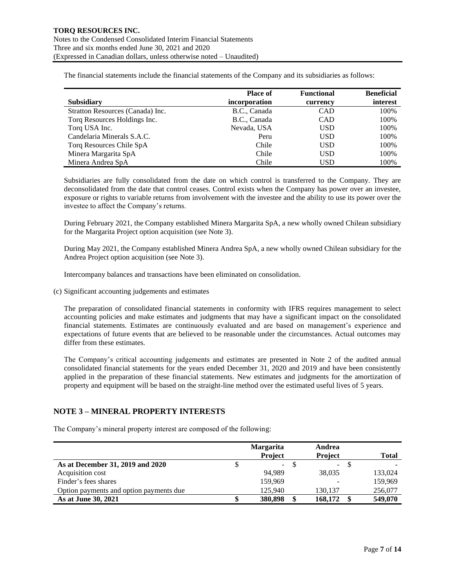The financial statements include the financial statements of the Company and its subsidiaries as follows:

|                                  | <b>Place of</b> | <b>Functional</b> | <b>Beneficial</b> |
|----------------------------------|-----------------|-------------------|-------------------|
| <b>Subsidiary</b>                | incorporation   | currency          | interest          |
| Stratton Resources (Canada) Inc. | B.C., Canada    | <b>CAD</b>        | 100%              |
| Torq Resources Holdings Inc.     | B.C., Canada    | <b>CAD</b>        | 100%              |
| Torq USA Inc.                    | Nevada, USA     | <b>USD</b>        | 100%              |
| Candelaria Minerals S.A.C.       | Peru            | USD               | 100%              |
| Torq Resources Chile SpA         | Chile           | <b>USD</b>        | 100%              |
| Minera Margarita SpA             | Chile           | USD               | 100%              |
| Minera Andrea SpA                | Chile           | USD               | 100%              |

Subsidiaries are fully consolidated from the date on which control is transferred to the Company. They are deconsolidated from the date that control ceases. Control exists when the Company has power over an investee, exposure or rights to variable returns from involvement with the investee and the ability to use its power over the investee to affect the Company's returns.

During February 2021, the Company established Minera Margarita SpA, a new wholly owned Chilean subsidiary for the Margarita Project option acquisition (see Note 3).

During May 2021, the Company established Minera Andrea SpA, a new wholly owned Chilean subsidiary for the Andrea Project option acquisition (see Note 3).

Intercompany balances and transactions have been eliminated on consolidation.

(c) Significant accounting judgements and estimates

The preparation of consolidated financial statements in conformity with IFRS requires management to select accounting policies and make estimates and judgments that may have a significant impact on the consolidated financial statements. Estimates are continuously evaluated and are based on management's experience and expectations of future events that are believed to be reasonable under the circumstances. Actual outcomes may differ from these estimates.

The Company's critical accounting judgements and estimates are presented in Note 2 of the audited annual consolidated financial statements for the years ended December 31, 2020 and 2019 and have been consistently applied in the preparation of these financial statements. New estimates and judgments for the amortization of property and equipment will be based on the straight-line method over the estimated useful lives of 5 years.

## **NOTE 3 – MINERAL PROPERTY INTERESTS**

The Company's mineral property interest are composed of the following:

|                                         | <b>Margarita</b><br><b>Project</b> | Andrea<br><b>Project</b> | Total   |
|-----------------------------------------|------------------------------------|--------------------------|---------|
| As at December 31, 2019 and 2020        | $\sim$                             | $\mathbf{r}$             |         |
| Acquisition cost                        | 94.989                             | 38,035                   | 133,024 |
| Finder's fees shares                    | 159,969                            |                          | 159.969 |
| Option payments and option payments due | 125,940                            | 130.137                  | 256,077 |
| As at June 30, 2021                     | 380,898                            | 168,172                  | 549,070 |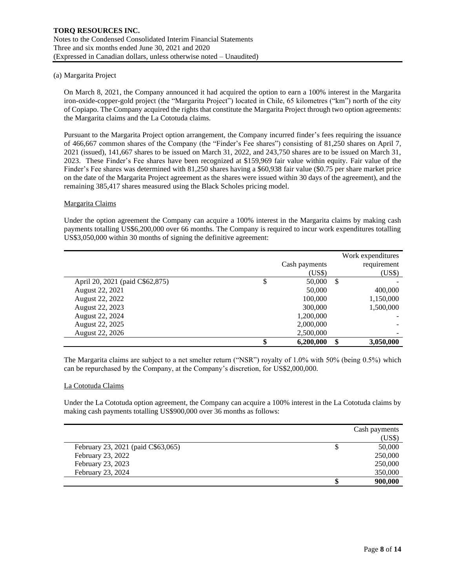### (a) Margarita Project

On March 8, 2021, the Company announced it had acquired the option to earn a 100% interest in the Margarita iron-oxide-copper-gold project (the "Margarita Project") located in Chile, 65 kilometres ("km") north of the city of Copiapo. The Company acquired the rights that constitute the Margarita Project through two option agreements: the Margarita claims and the La Cototuda claims.

Pursuant to the Margarita Project option arrangement, the Company incurred finder's fees requiring the issuance of 466,667 common shares of the Company (the "Finder's Fee shares") consisting of 81,250 shares on April 7, 2021 (issued), 141,667 shares to be issued on March 31, 2022, and 243,750 shares are to be issued on March 31, 2023. These Finder's Fee shares have been recognized at \$159,969 fair value within equity. Fair value of the Finder's Fee shares was determined with 81,250 shares having a \$60,938 fair value (\$0.75 per share market price on the date of the Margarita Project agreement as the shares were issued within 30 days of the agreement), and the remaining 385,417 shares measured using the Black Scholes pricing model.

### Margarita Claims

Under the option agreement the Company can acquire a 100% interest in the Margarita claims by making cash payments totalling US\$6,200,000 over 66 months. The Company is required to incur work expenditures totalling US\$3,050,000 within 30 months of signing the definitive agreement:

|                                 |                 |               | Work expenditures |
|---------------------------------|-----------------|---------------|-------------------|
|                                 | Cash payments   |               | requirement       |
|                                 | (US\$)          |               | (US\$)            |
| April 20, 2021 (paid C\$62,875) | \$<br>50,000    | <sup>\$</sup> |                   |
| August 22, 2021                 | 50,000          |               | 400,000           |
| August 22, 2022                 | 100,000         |               | 1,150,000         |
| August 22, 2023                 | 300,000         |               | 1,500,000         |
| August 22, 2024                 | 1,200,000       |               |                   |
| August 22, 2025                 | 2,000,000       |               |                   |
| August 22, 2026                 | 2,500,000       |               |                   |
|                                 | \$<br>6,200,000 | \$            | 3,050,000         |

The Margarita claims are subject to a net smelter return ("NSR") royalty of 1.0% with 50% (being 0.5%) which can be repurchased by the Company, at the Company's discretion, for US\$2,000,000.

### La Cototuda Claims

Under the La Cototuda option agreement, the Company can acquire a 100% interest in the La Cototuda claims by making cash payments totalling US\$900,000 over 36 months as follows:

|                                    |    | Cash payments |
|------------------------------------|----|---------------|
|                                    |    | (US\$)        |
| February 23, 2021 (paid C\$63,065) | \$ | 50,000        |
| February 23, 2022                  |    | 250,000       |
| February 23, 2023                  |    | 250,000       |
| February 23, 2024                  |    | 350,000       |
|                                    | S  | 900,000       |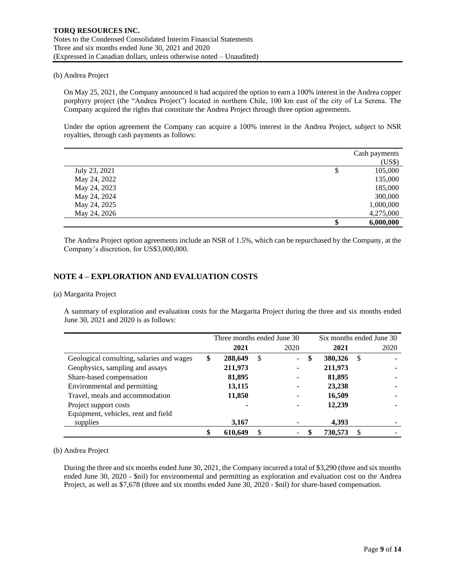### (b) Andrea Project

On May 25, 2021, the Company announced it had acquired the option to earn a 100% interest in the Andrea copper porphyry project (the "Andrea Project") located in northern Chile, 100 km east of the city of La Serena. The Company acquired the rights that constitute the Andrea Project through three option agreements.

Under the option agreement the Company can acquire a 100% interest in the Andrea Project, subject to NSR royalties, through cash payments as follows:

|               | Cash payments   |
|---------------|-----------------|
|               | (US\$)          |
| July 23, 2021 | \$<br>105,000   |
| May 24, 2022  | 135,000         |
| May 24, 2023  | 185,000         |
| May 24, 2024  | 300,000         |
| May 24, 2025  | 1,000,000       |
| May 24, 2026  | 4,275,000       |
|               | \$<br>6,000,000 |

The Andrea Project option agreements include an NSR of 1.5%, which can be repurchased by the Company, at the Company's discretion, for US\$3,000,000.

## **NOTE 4 – EXPLORATION AND EVALUATION COSTS**

### (a) Margarita Project

A summary of exploration and evaluation costs for the Margarita Project during the three and six months ended June 30, 2021 and 2020 is as follows:

|                                           | Three months ended June 30 |    | Six months ended June 30 |               |   |      |
|-------------------------------------------|----------------------------|----|--------------------------|---------------|---|------|
|                                           | 2021                       |    | 2020                     | 2021          |   | 2020 |
| Geological consulting, salaries and wages | \$<br>288,649              | \$ | $\sim 10$                | \$<br>380,326 | S |      |
| Geophysics, sampling and assays           | 211,973                    |    |                          | 211,973       |   |      |
| Share-based compensation                  | 81,895                     |    |                          | 81,895        |   |      |
| Environmental and permitting              | 13,115                     |    |                          | 23,238        |   |      |
| Travel, meals and accommodation           | 11,850                     |    |                          | 16,509        |   |      |
| Project support costs                     |                            |    |                          | 12,239        |   |      |
| Equipment, vehicles, rent and field       |                            |    |                          |               |   |      |
| supplies                                  | 3,167                      |    |                          | 4,393         |   |      |
|                                           | 610,649                    |    |                          | 730,573       |   |      |

(b) Andrea Project

During the three and six months ended June 30, 2021, the Company incurred a total of \$3,290 (three and six months ended June 30, 2020 - \$nil) for environmental and permitting as exploration and evaluation cost on the Andrea Project, as well as \$7,678 (three and six months ended June 30, 2020 - \$nil) for share-based compensation.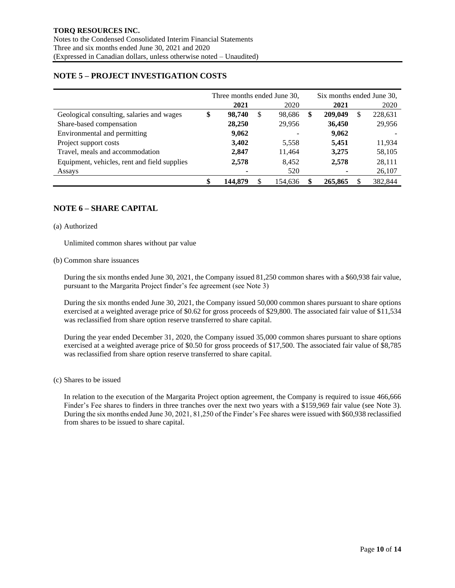# **NOTE 5 – PROJECT INVESTIGATION COSTS**

|                                              | Three months ended June 30, |                          |    |                          |   | Six months ended June 30, |   |         |  |
|----------------------------------------------|-----------------------------|--------------------------|----|--------------------------|---|---------------------------|---|---------|--|
|                                              |                             | 2021                     |    | 2020                     |   | 2021                      |   | 2020    |  |
| Geological consulting, salaries and wages    | \$                          | 98,740                   | \$ | 98,686                   | ж | 209,049                   | S | 228,631 |  |
| Share-based compensation                     |                             | 28,250                   |    | 29,956                   |   | 36,450                    |   | 29,956  |  |
| Environmental and permitting                 |                             | 9,062                    |    | $\overline{\phantom{a}}$ |   | 9,062                     |   |         |  |
| Project support costs                        |                             | 3,402                    |    | 5,558                    |   | 5,451                     |   | 11,934  |  |
| Travel, meals and accommodation              |                             | 2,847                    |    | 11,464                   |   | 3,275                     |   | 58,105  |  |
| Equipment, vehicles, rent and field supplies |                             | 2,578                    |    | 8.452                    |   | 2,578                     |   | 28,111  |  |
| Assays                                       |                             | $\overline{\phantom{a}}$ |    | 520                      |   |                           |   | 26,107  |  |
|                                              |                             | 144.879                  |    | 154.636                  |   | 265,865                   |   | 382,844 |  |

# **NOTE 6 – SHARE CAPITAL**

#### (a) Authorized

Unlimited common shares without par value

#### (b) Common share issuances

During the six months ended June 30, 2021, the Company issued 81,250 common shares with a \$60,938 fair value, pursuant to the Margarita Project finder's fee agreement (see Note 3)

During the six months ended June 30, 2021, the Company issued 50,000 common shares pursuant to share options exercised at a weighted average price of \$0.62 for gross proceeds of \$29,800. The associated fair value of \$11,534 was reclassified from share option reserve transferred to share capital.

During the year ended December 31, 2020, the Company issued 35,000 common shares pursuant to share options exercised at a weighted average price of \$0.50 for gross proceeds of \$17,500. The associated fair value of \$8,785 was reclassified from share option reserve transferred to share capital.

### (c) Shares to be issued

In relation to the execution of the Margarita Project option agreement, the Company is required to issue 466,666 Finder's Fee shares to finders in three tranches over the next two years with a \$159,969 fair value (see Note 3). During the six months ended June 30, 2021, 81,250 of the Finder's Fee shares were issued with \$60,938 reclassified from shares to be issued to share capital.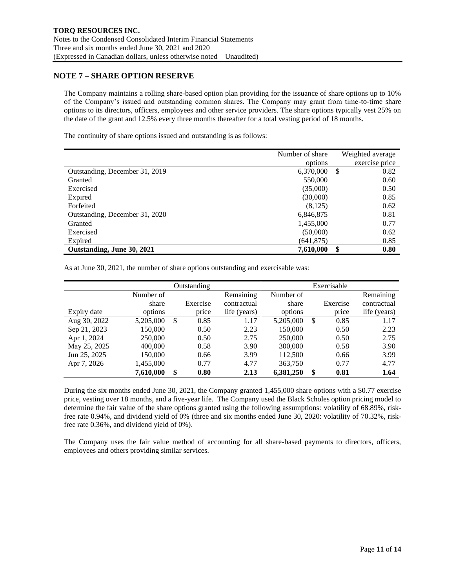## **NOTE 7 – SHARE OPTION RESERVE**

The Company maintains a rolling share-based option plan providing for the issuance of share options up to 10% of the Company's issued and outstanding common shares. The Company may grant from time-to-time share options to its directors, officers, employees and other service providers. The share options typically vest 25% on the date of the grant and 12.5% every three months thereafter for a total vesting period of 18 months.

The continuity of share options issued and outstanding is as follows:

|                                | Number of share | Weighted average |
|--------------------------------|-----------------|------------------|
|                                | options         | exercise price   |
| Outstanding, December 31, 2019 | 6,370,000       | \$<br>0.82       |
| Granted                        | 550,000         | 0.60             |
| Exercised                      | (35,000)        | 0.50             |
| Expired                        | (30,000)        | 0.85             |
| Forfeited                      | (8,125)         | 0.62             |
| Outstanding, December 31, 2020 | 6,846,875       | 0.81             |
| Granted                        | 1,455,000       | 0.77             |
| Exercised                      | (50,000)        | 0.62             |
| Expired                        | (641, 875)      | 0.85             |
| Outstanding, June 30, 2021     | 7,610,000       | 0.80             |

As at June 30, 2021, the number of share options outstanding and exercisable was:

|              |           | Outstanding |              | Exercisable |    |          |              |  |  |
|--------------|-----------|-------------|--------------|-------------|----|----------|--------------|--|--|
|              | Number of |             | Remaining    | Number of   |    |          | Remaining    |  |  |
|              | share     | Exercise    | contractual  | share       |    | Exercise | contractual  |  |  |
| Expiry date  | options   | price       | life (years) | options     |    | price    | life (years) |  |  |
| Aug 30, 2022 | 5,205,000 | \$<br>0.85  | 1.17         | 5,205,000   | \$ | 0.85     | 1.17         |  |  |
| Sep 21, 2023 | 150.000   | 0.50        | 2.23         | 150,000     |    | 0.50     | 2.23         |  |  |
| Apr 1, 2024  | 250,000   | 0.50        | 2.75         | 250,000     |    | 0.50     | 2.75         |  |  |
| May 25, 2025 | 400,000   | 0.58        | 3.90         | 300,000     |    | 0.58     | 3.90         |  |  |
| Jun 25, 2025 | 150,000   | 0.66        | 3.99         | 112,500     |    | 0.66     | 3.99         |  |  |
| Apr 7, 2026  | 1,455,000 | 0.77        | 4.77         | 363,750     |    | 0.77     | 4.77         |  |  |
|              | 7,610,000 | \$<br>0.80  | 2.13         | 6,381,250   | \$ | 0.81     | 1.64         |  |  |

During the six months ended June 30, 2021, the Company granted 1,455,000 share options with a \$0.77 exercise price, vesting over 18 months, and a five-year life. The Company used the Black Scholes option pricing model to determine the fair value of the share options granted using the following assumptions: volatility of 68.89%, riskfree rate 0.94%, and dividend yield of 0% (three and six months ended June 30, 2020: volatility of 70.32%, riskfree rate 0.36%, and dividend yield of 0%).

The Company uses the fair value method of accounting for all share-based payments to directors, officers, employees and others providing similar services.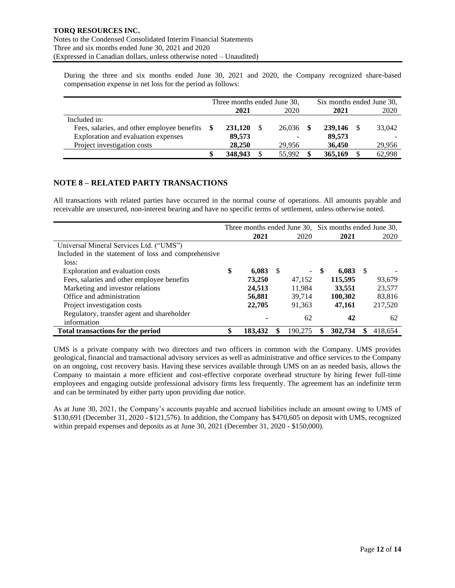During the three and six months ended June 30, 2021 and 2020, the Company recognized share-based compensation expense in net loss for the period as follows:

|                                             | Three months ended June 30, |         |  |                          |  | Six months ended June 30, |  |        |  |  |
|---------------------------------------------|-----------------------------|---------|--|--------------------------|--|---------------------------|--|--------|--|--|
|                                             |                             | 2021    |  | 2020                     |  | 2021                      |  | 2020   |  |  |
| Included in:                                |                             |         |  |                          |  |                           |  |        |  |  |
| Fees, salaries, and other employee benefits |                             | 231,120 |  | 26,036                   |  | 239,146                   |  | 33,042 |  |  |
| Exploration and evaluation expenses         |                             | 89,573  |  | $\overline{\phantom{a}}$ |  | 89,573                    |  |        |  |  |
| Project investigation costs                 |                             | 28,250  |  | 29.956                   |  | 36,450                    |  | 29,956 |  |  |
|                                             |                             | 348,943 |  | 55,992                   |  | 365,169                   |  | 62,998 |  |  |

# **NOTE 8 – RELATED PARTY TRANSACTIONS**

All transactions with related parties have occurred in the normal course of operations. All amounts payable and receivable are unsecured, non-interest bearing and have no specific terms of settlement, unless otherwise noted.

|                                                     | Three months ended June 30, Six months ended June 30, |         |     |                          |     |         |     |         |  |
|-----------------------------------------------------|-------------------------------------------------------|---------|-----|--------------------------|-----|---------|-----|---------|--|
|                                                     |                                                       | 2021    |     | 2020                     |     | 2021    |     | 2020    |  |
| Universal Mineral Services Ltd. ("UMS")             |                                                       |         |     |                          |     |         |     |         |  |
| Included in the statement of loss and comprehensive |                                                       |         |     |                          |     |         |     |         |  |
| loss:                                               |                                                       |         |     |                          |     |         |     |         |  |
| Exploration and evaluation costs                    | \$                                                    | 6,083   | - S | $\overline{\phantom{0}}$ | -SS | 6,083   | - S |         |  |
| Fees, salaries and other employee benefits          |                                                       | 73,250  |     | 47.152                   |     | 115,595 |     | 93,679  |  |
| Marketing and investor relations                    |                                                       | 24,513  |     | 11,984                   |     | 33,551  |     | 23,577  |  |
| Office and administration                           |                                                       | 56,881  |     | 39.714                   |     | 100,302 |     | 83,816  |  |
| Project investigation costs                         |                                                       | 22,705  |     | 91,363                   |     | 47,161  |     | 217,520 |  |
| Regulatory, transfer agent and shareholder          |                                                       |         |     | 62                       |     | 42      |     | 62      |  |
| information                                         |                                                       |         |     |                          |     |         |     |         |  |
| Total transactions for the period                   | \$                                                    | 183,432 |     | 190.275                  |     | 302,734 |     | 418.654 |  |

UMS is a private company with two directors and two officers in common with the Company. UMS provides geological, financial and transactional advisory services as well as administrative and office services to the Company on an ongoing, cost recovery basis. Having these services available through UMS on an as needed basis, allows the Company to maintain a more efficient and cost-effective corporate overhead structure by hiring fewer full-time employees and engaging outside professional advisory firms less frequently. The agreement has an indefinite term and can be terminated by either party upon providing due notice.

As at June 30, 2021, the Company's accounts payable and accrued liabilities include an amount owing to UMS of \$130,691 (December 31, 2020 - \$121,576). In addition, the Company has \$470,605 on deposit with UMS, recognized within prepaid expenses and deposits as at June 30, 2021 (December 31, 2020 - \$150,000).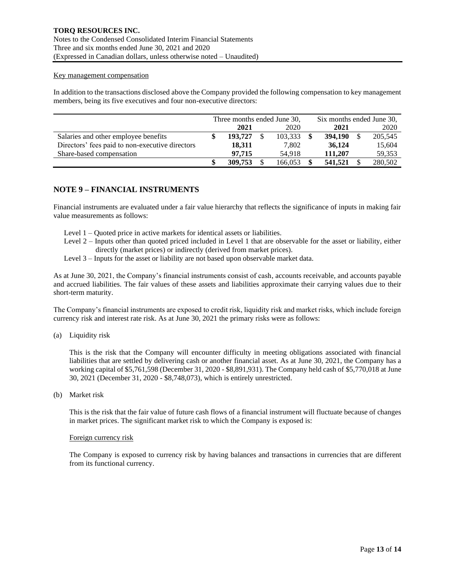#### Key management compensation

In addition to the transactions disclosed above the Company provided the following compensation to key management members, being its five executives and four non-executive directors:

|                                                 | Three months ended June 30, |         |  |         |  | Six months ended June 30, |      |         |  |  |
|-------------------------------------------------|-----------------------------|---------|--|---------|--|---------------------------|------|---------|--|--|
|                                                 | 2020<br>2021                |         |  |         |  | 2021                      | 2020 |         |  |  |
| Salaries and other employee benefits            |                             | 193.727 |  | 103.333 |  | 394,190                   |      | 205,545 |  |  |
| Directors' fees paid to non-executive directors |                             | 18.311  |  | 7.802   |  | 36,124                    |      | 15,604  |  |  |
| Share-based compensation                        |                             | 97.715  |  | 54.918  |  | 111.207                   |      | 59,353  |  |  |
|                                                 |                             | 309,753 |  | 166.053 |  | 541,521                   |      | 280,502 |  |  |

# **NOTE 9 – FINANCIAL INSTRUMENTS**

Financial instruments are evaluated under a fair value hierarchy that reflects the significance of inputs in making fair value measurements as follows:

- Level 1 Quoted price in active markets for identical assets or liabilities.
- Level 2 Inputs other than quoted priced included in Level 1 that are observable for the asset or liability, either directly (market prices) or indirectly (derived from market prices).
- Level 3 Inputs for the asset or liability are not based upon observable market data.

As at June 30, 2021, the Company's financial instruments consist of cash, accounts receivable, and accounts payable and accrued liabilities. The fair values of these assets and liabilities approximate their carrying values due to their short-term maturity.

The Company's financial instruments are exposed to credit risk, liquidity risk and market risks, which include foreign currency risk and interest rate risk. As at June 30, 2021 the primary risks were as follows:

(a) Liquidity risk

This is the risk that the Company will encounter difficulty in meeting obligations associated with financial liabilities that are settled by delivering cash or another financial asset. As at June 30, 2021, the Company has a working capital of \$5,761,598 (December 31, 2020 - \$8,891,931). The Company held cash of \$5,770,018 at June 30, 2021 (December 31, 2020 - \$8,748,073), which is entirely unrestricted.

(b) Market risk

This is the risk that the fair value of future cash flows of a financial instrument will fluctuate because of changes in market prices. The significant market risk to which the Company is exposed is:

### Foreign currency risk

The Company is exposed to currency risk by having balances and transactions in currencies that are different from its functional currency.